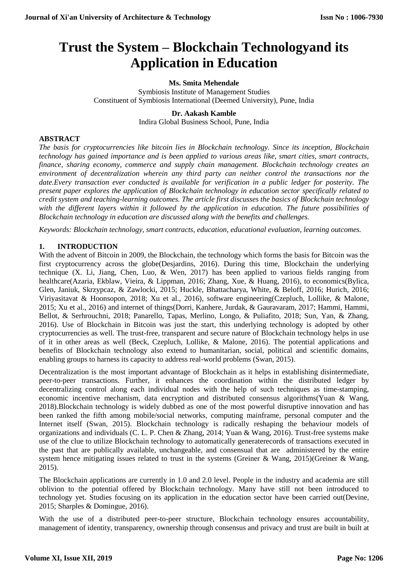# **Trust the System – Blockchain Technologyand its Application in Education**

#### **Ms. Smita Mehendale**

Symbiosis Institute of Management Studies Constituent of Symbiosis International (Deemed University), Pune, India

#### **Dr. Aakash Kamble**

Indira Global Business School, Pune, India

#### **ABSTRACT**

*The basis for cryptocurrencies like bitcoin lies in Blockchain technology. Since its inception, Blockchain technology has gained importance and is been applied to various areas like, smart cities, smart contracts, finance, sharing economy, commerce and supply chain management. Blockchain technology creates an environment of decentralization wherein any third party can neither control the transactions nor the date.Every transaction ever conducted is available for verification in a public ledger for posterity. The present paper explores the application of Blockchain technology in education sector specifically related to credit system and teaching-learning outcomes. The article first discusses the basics of Blockchain technology with the different layers within it followed by the application in education. The future possibilities of Blockchain technology in education are discussed along with the benefits and challenges.*

*Keywords: Blockchain technology, smart contracts, education, educational evaluation, learning outcomes.*

# **1. INTRODUCTION**

With the advent of Bitcoin in 2009, the Blockchain, the technology which forms the basis for Bitcoin was the first cryptocurrency across the globe(Desjardins, 2016). During this time, Blockchain the underlying technique (X. Li, Jiang, Chen, Luo, & Wen, 2017) has been applied to various fields ranging from healthcare(Azaria, Ekblaw, Vieira, & Lippman, 2016; Zhang, Xue, & Huang, 2016), to economics(Bylica, Glen, Janiuk, Skrzypcaz, & Zawlocki, 2015; Huckle, Bhattacharya, White, & Beloff, 2016; Hurich, 2016; Viriyasitavat & Hoonsopon, 2018; Xu et al., 2016), software engineering(Czepluch, Lollike, & Malone, 2015; Xu et al., 2016) and internet of things(Dorri, Kanhere, Jurdak, & Gauravaram, 2017; Hammi, Hammi, Bellot, & Serhrouchni, 2018; Panarello, Tapas, Merlino, Longo, & Puliafito, 2018; Sun, Yan, & Zhang, 2016). Use of Blockchain in Bitcoin was just the start, this underlying technology is adopted by other cryptocurrencies as well. The trust-free, transparent and secure nature of Blockchain technology helps in use of it in other areas as well (Beck, Czepluch, Lollike, & Malone, 2016). The potential applications and benefits of Blockchain technology also extend to humanitarian, social, political and scientific domains, enabling groups to harness its capacity to address real-world problems (Swan, 2015).

Decentralization is the most important advantage of Blockchain as it helps in establishing disintermediate, peer-to-peer transactions. Further, it enhances the coordination within the distributed ledger by decentralizing control along each individual nodes with the help of such techniques as time-stamping, economic incentive mechanism, data encryption and distributed consensus algorithms(Yuan & Wang, 2018).Blockchain technology is widely dubbed as one of the most powerful disruptive innovation and has been ranked the fifth among mobile/social networks, computing mainframe, personal computer and the Internet itself (Swan, 2015). Blockchain technology is radically reshaping the behaviour models of organizations and individuals (C. L. P. Chen & Zhang, 2014; Yuan & Wang, 2016). Trust-free systems make use of the clue to utilize Blockchain technology to automatically generaterecords of transactions executed in the past that are publically available, unchangeable, and consensual that are administered by the entire system hence mitigating issues related to trust in the systems (Greiner & Wang, 2015)(Greiner & Wang, 2015).

The Blockchain applications are currently in 1.0 and 2.0 level. People in the industry and academia are still oblivion to the potential offered by Blockchain technology. Many have still not been introduced to technology yet. Studies focusing on its application in the education sector have been carried out(Devine, 2015; Sharples & Domingue, 2016).

With the use of a distributed peer-to-peer structure, Blockchain technology ensures accountability, management of identity, transparency, ownership through consensus and privacy and trust are built in built at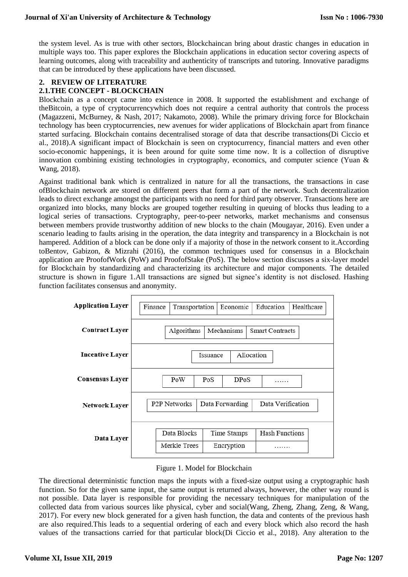the system level. As is true with other sectors, Blockchaincan bring about drastic changes in education in multiple ways too. This paper explores the Blockchain applications in education sector covering aspects of learning outcomes, along with traceability and authenticity of transcripts and tutoring. Innovative paradigms that can be introduced by these applications have been discussed.

# **2. REVIEW OF LITERATURE**

# **2.1.THE CONCEPT - BLOCKCHAIN**

Blockchain as a concept came into existence in 2008. It supported the establishment and exchange of theBitcoin, a type of cryptocurrencywhich does not require a central authority that controls the process (Magazzeni, McBurney, & Nash, 2017; Nakamoto, 2008). While the primary driving force for Blockchain technology has been cryptocurrencies, new avenues for wider applications of Blockchain apart from finance started surfacing. Blockchain contains decentralised storage of data that describe transactions(Di Ciccio et al., 2018).A significant impact of Blockchain is seen on cryptocurrency, financial matters and even other socio-economic happenings, it is been around for quite some time now. It is a collection of disruptive innovation combining existing technologies in cryptography, economics, and computer science (Yuan & Wang, 2018).

Against traditional bank which is centralized in nature for all the transactions, the transactions in case ofBlockchain network are stored on different peers that form a part of the network. Such decentralization leads to direct exchange amongst the participants with no need for third party observer. Transactions here are organized into blocks, many blocks are grouped together resulting in queuing of blocks thus leading to a logical series of transactions. Cryptography, peer-to-peer networks, market mechanisms and consensus between members provide trustworthy addition of new blocks to the chain (Mougayar, 2016). Even under a scenario leading to faults arising in the operation, the data integrity and transparency in a Blockchain is not hampered. Addition of a block can be done only if a majority of those in the network consent to it.According toBentov, Gabizon, & Mizrahi (2016), the common techniques used for consensus in a Blockchain application are ProofofWork (PoW) and ProofofStake (PoS). The below section discusses a six-layer model for Blockchain by standardizing and characterizing its architecture and major components. The detailed structure is shown in figure 1.All transactions are signed but signee's identity is not disclosed. Hashing function facilitates consensus and anonymity.

| Application Layer      | Finance                 | Transportation              |                 | Economic                  | Education                  | Healthcare |
|------------------------|-------------------------|-----------------------------|-----------------|---------------------------|----------------------------|------------|
| <b>Contract Layer</b>  |                         | Algorithms                  |                 | Mechanisms                | <b>Smart Contracts</b>     |            |
| <b>Incentive Layer</b> | Allocation<br>Issuance  |                             |                 |                           |                            |            |
| <b>Consensus Layer</b> | PoW<br>PoS<br>DPos<br>. |                             |                 |                           |                            |            |
| Network Layer          | <b>P2P Networks</b>     |                             | Data Forwarding |                           | Data Verification          |            |
| Data Layer             |                         | Data Blocks<br>Merkle Trees |                 | Time Stamps<br>Encryption | <b>Hash Functions</b><br>. |            |
|                        |                         |                             |                 |                           |                            |            |

#### Figure 1. Model for Blockchain

The directional deterministic function maps the inputs with a fixed-size output using a cryptographic hash function. So for the given same input, the same output is returned always, however, the other way round is not possible. Data layer is responsible for providing the necessary techniques for manipulation of the collected data from various sources like physical, cyber and social(Wang, Zheng, Zhang, Zeng, & Wang, 2017). For every new block generated for a given hash function, the data and contents of the previous hash are also required.This leads to a sequential ordering of each and every block which also record the hash values of the transactions carried for that particular block(Di Ciccio et al., 2018). Any alteration to the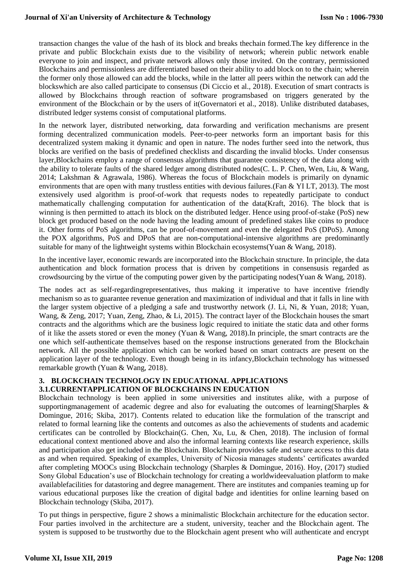transaction changes the value of the hash of its block and breaks thechain formed.The key difference in the private and public Blockchain exists due to the visibility of network; wherein public network enable everyone to join and inspect, and private network allows only those invited. On the contrary, permissioned Blockchains and permissionless are differentiated based on their ability to add block on to the chain; wherein the former only those allowed can add the blocks, while in the latter all peers within the network can add the blockswhich are also called participate to consensus (Di Ciccio et al., 2018). Execution of smart contracts is allowed by Blockchains through reaction of software programsbased on triggers generated by the environment of the Blockchain or by the users of it(Governatori et al., 2018). Unlike distributed databases, distributed ledger systems consist of computational platforms.

In the network layer, distributed networking, data forwarding and verification mechanisms are present forming decentralized communication models. Peer-to-peer networks form an important basis for this decentralized system making it dynamic and open in nature. The nodes further seed into the network, thus blocks are verified on the basis of predefined checklists and discarding the invalid blocks. Under consensus layer,Blockchains employ a range of consensus algorithms that guarantee consistency of the data along with the ability to tolerate faults of the shared ledger among distributed nodes(C. L. P. Chen, Wen, Liu, & Wang, 2014; Lakshman & Agrawala, 1986). Whereas the focus of Blockchain models is primarily on dynamic environments that are open with many trustless entities with devious failures.(Fan & YI LT, 2013). The most extensively used algorithm is proof-of-work that requests nodes to repeatedly participate to conduct mathematically challenging computation for authentication of the data(Kraft, 2016). The block that is winning is then permitted to attach its block on the distributed ledger. Hence using proof-of-stake (PoS) new block get produced based on the node having the leading amount of predefined stakes like coins to produce it. Other forms of PoS algorithms, can be proof-of-movement and even the delegated PoS (DPoS). Among the POX algorithms, PoS and DPoS that are non-computational-intensive algorithms are predominantly suitable for many of the lightweight systems within Blockchain ecosystems (Yuan & Wang, 2018).

In the incentive layer, economic rewards are incorporated into the Blockchain structure. In principle, the data authentication and block formation process that is driven by competitions in consensusis regarded as crowdsourcing by the virtue of the computing power given by the participating nodes(Yuan & Wang, 2018).

The nodes act as self-regardingrepresentatives, thus making it imperative to have incentive friendly mechanism so as to guarantee revenue generation and maximization of individual and that it falls in line with the larger system objective of a pledging a safe and trustworthy network (J. Li, Ni, & Yuan, 2018; Yuan, Wang, & Zeng, 2017; Yuan, Zeng, Zhao, & Li, 2015). The contract layer of the Blockchain houses the smart contracts and the algorithms which are the business logic required to initiate the static data and other forms of it like the assets stored or even the money (Yuan & Wang, 2018).In principle, the smart contracts are the one which self-authenticate themselves based on the response instructions generated from the Blockchain network. All the possible application which can be worked based on smart contracts are present on the application layer of the technology. Even though being in its infancy,Blockchain technology has witnessed remarkable growth (Yuan & Wang, 2018).

# **3. BLOCKCHAIN TECHNOLOGY IN EDUCATIONAL APPLICATIONS 3.1.CURRENTAPPLICATION OF BLOCKCHAINS IN EDUCATION**

Blockchain technology is been applied in some universities and institutes alike, with a purpose of supportingmanagement of academic degree and also for evaluating the outcomes of learning(Sharples & Domingue, 2016; Skiba, 2017). Contents related to education like the formulation of the transcript and related to formal learning like the contents and outcomes as also the achievements of students and academic certificates can be controlled by Blockchain(G. Chen, Xu, Lu, & Chen, 2018). The inclusion of formal educational context mentioned above and also the informal learning contexts like research experience, skills and participation also get included in the Blockchain. Blockchain provides safe and secure access to this data as and when required. Speaking of examples, University of Nicosia manages students' certificates awarded after completing MOOCs using Blockchain technology (Sharples & Domingue, 2016). Hoy, (2017) studied Sony Global Education's use of Blockchain technology for creating a worldwideevaluation platform to make availablefacilities for datastoring and degree management. There are institutes and companies teaming up for various educational purposes like the creation of digital badge and identities for online learning based on Blockchain technology (Skiba, 2017).

To put things in perspective, figure 2 shows a minimalistic Blockchain architecture for the education sector. Four parties involved in the architecture are a student, university, teacher and the Blockchain agent. The system is supposed to be trustworthy due to the Blockchain agent present who will authenticate and encrypt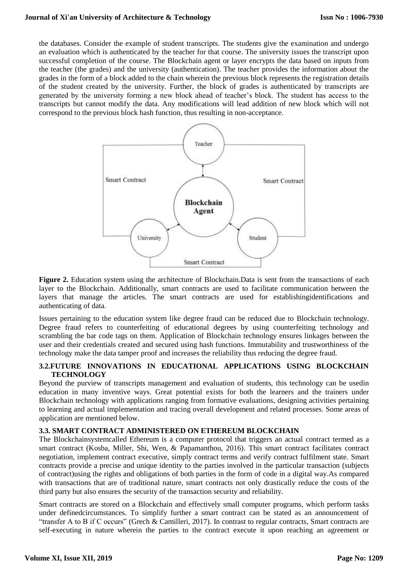the databases. Consider the example of student transcripts. The students give the examination and undergo an evaluation which is authenticated by the teacher for that course. The university issues the transcript upon successful completion of the course. The Blockchain agent or layer encrypts the data based on inputs from the teacher (the grades) and the university (authentication). The teacher provides the information about the grades in the form of a block added to the chain wherein the previous block represents the registration details of the student created by the university. Further, the block of grades is authenticated by transcripts are generated by the university forming a new block ahead of teacher's block. The student has access to the transcripts but cannot modify the data. Any modifications will lead addition of new block which will not correspond to the previous block hash function, thus resulting in non-acceptance.



Figure 2. Education system using the architecture of Blockchain.Data is sent from the transactions of each layer to the Blockchain. Additionally, smart contracts are used to facilitate communication between the layers that manage the articles. The smart contracts are used for establishingidentifications and authenticating of data.

Issues pertaining to the education system like degree fraud can be reduced due to Blockchain technology. Degree fraud refers to counterfeiting of educational degrees by using counterfeiting technology and scrambling the bar code tags on them. Application of Blockchain technology ensures linkages between the user and their credentials created and secured using hash functions. Immutability and trustworthiness of the technology make the data tamper proof and increases the reliability thus reducing the degree fraud.

# **3.2.FUTURE INNOVATIONS IN EDUCATIONAL APPLICATIONS USING BLOCKCHAIN TECHNOLOGY**

Beyond the purview of transcripts management and evaluation of students, this technology can be usedin education in many inventive ways. Great potential exists for both the learners and the trainers under Blockchain technology with applications ranging from formative evaluations, designing activities pertaining to learning and actual implementation and tracing overall development and related processes. Some areas of application are mentioned below.

#### **3.3. SMART CONTRACT ADMINISTERED ON ETHEREUM BLOCKCHAIN**

The Blockchainsystemcalled Ethereum is a computer protocol that triggers an actual contract termed as a smart contract (Kosba, Miller, Shi, Wen, & Papamanthou, 2016). This smart contract facilitates contract negotiation, implement contract executive, simply contract terms and verify contract fulfilment state. Smart contracts provide a precise and unique identity to the parties involved in the particular transaction (subjects of contract)using the rights and obligations of both parties in the form of code in a digital way.As compared with transactions that are of traditional nature, smart contracts not only drastically reduce the costs of the third party but also ensures the security of the transaction security and reliability.

Smart contracts are stored on a Blockchain and effectively small computer programs, which perform tasks under definedcircumstances. To simplify further a smart contract can be stated as an announcement of "transfer A to B if C occurs" (Grech & Camilleri, 2017). In contrast to regular contracts, Smart contracts are self-executing in nature wherein the parties to the contract execute it upon reaching an agreement or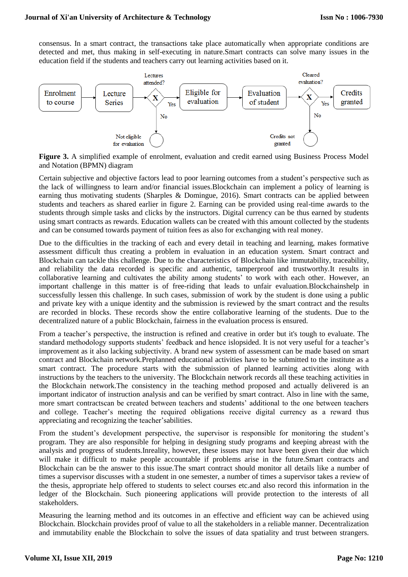consensus. In a smart contract, the transactions take place automatically when appropriate conditions are detected and met, thus making in self-executing in nature.Smart contracts can solve many issues in the education field if the students and teachers carry out learning activities based on it.



**Figure 3.** A simplified example of enrolment, evaluation and credit earned using Business Process Model and Notation (BPMN) diagram

Certain subjective and objective factors lead to poor learning outcomes from a student's perspective such as the lack of willingness to learn and/or financial issues.Blockchain can implement a policy of learning is earning thus motivating students (Sharples & Domingue, 2016). Smart contracts can be applied between students and teachers as shared earlier in figure 2. Earning can be provided using real-time awards to the students through simple tasks and clicks by the instructors. Digital currency can be thus earned by students using smart contracts as rewards. Education wallets can be created with this amount collected by the students and can be consumed towards payment of tuition fees as also for exchanging with real money.

Due to the difficulties in the tracking of each and every detail in teaching and learning, makes formative assessment difficult thus creating a problem in evaluation in an education system. Smart contract and Blockchain can tackle this challenge. Due to the characteristics of Blockchain like immutability, traceability, and reliability the data recorded is specific and authentic, tamperproof and trustworthy.It results in collaborative learning and cultivates the ability among students' to work with each other. However, an important challenge in this matter is of free-riding that leads to unfair evaluation.Blockchainshelp in successfully lessen this challenge. In such cases, submission of work by the student is done using a public and private key with a unique identity and the submission is reviewed by the smart contract and the results are recorded in blocks. These records show the entire collaborative learning of the students. Due to the decentralized nature of a public Blockchain, fairness in the evaluation process is ensured.

From a teacher's perspective, the instruction is refined and creative in order but it's tough to evaluate. The standard methodology supports students' feedback and hence islopsided. It is not very useful for a teacher's improvement as it also lacking subjectivity. A brand new system of assessment can be made based on smart contract and Blockchain network.Preplanned educational activities have to be submitted to the institute as a smart contract. The procedure starts with the submission of planned learning activities along with instructions by the teachers to the university. The Blockchain network records all these teaching activities in the Blockchain network.The consistency in the teaching method proposed and actually delivered is an important indicator of instruction analysis and can be verified by smart contract. Also in line with the same, more smart contractscan be created between teachers and students' additional to the one between teachers and college. Teacher's meeting the required obligations receive digital currency as a reward thus appreciating and recognizing the teacher'sabilities.

From the student's development perspective, the supervisor is responsible for monitoring the student's program. They are also responsible for helping in designing study programs and keeping abreast with the analysis and progress of students.Inreality, however, these issues may not have been given their due which will make it difficult to make people accountable if problems arise in the future.Smart contracts and Blockchain can be the answer to this issue.The smart contract should monitor all details like a number of times a supervisor discusses with a student in one semester, a number of times a supervisor takes a review of the thesis, appropriate help offered to students to select courses etc.and also record this information in the ledger of the Blockchain. Such pioneering applications will provide protection to the interests of all stakeholders.

Measuring the learning method and its outcomes in an effective and efficient way can be achieved using Blockchain. Blockchain provides proof of value to all the stakeholders in a reliable manner. Decentralization and immutability enable the Blockchain to solve the issues of data spatiality and trust between strangers.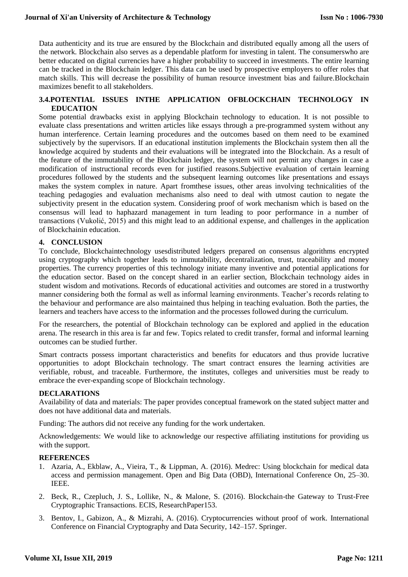Data authenticity and its true are ensured by the Blockchain and distributed equally among all the users of the network. Blockchain also serves as a dependable platform for investing in talent. The consumerswho are better educated on digital currencies have a higher probability to succeed in investments. The entire learning can be tracked in the Blockchain ledger. This data can be used by prospective employers to offer roles that match skills. This will decrease the possibility of human resource investment bias and failure.Blockchain maximizes benefit to all stakeholders.

#### **3.4.POTENTIAL ISSUES INTHE APPLICATION OFBLOCKCHAIN TECHNOLOGY IN EDUCATION**

Some potential drawbacks exist in applying Blockchain technology to education. It is not possible to evaluate class presentations and written articles like essays through a pre-programmed system without any human interference. Certain learning procedures and the outcomes based on them need to be examined subjectively by the supervisors. If an educational institution implements the Blockchain system then all the knowledge acquired by students and their evaluations will be integrated into the Blockchain. As a result of the feature of the immutability of the Blockchain ledger, the system will not permit any changes in case a modification of instructional records even for justified reasons.Subjective evaluation of certain learning procedures followed by the students and the subsequent learning outcomes like presentations and essays makes the system complex in nature. Apart fromthese issues, other areas involving technicalities of the teaching pedagogies and evaluation mechanisms also need to deal with utmost caution to negate the subjectivity present in the education system. Considering proof of work mechanism which is based on the consensus will lead to haphazard management in turn leading to poor performance in a number of transactions (Vukolić, 2015) and this might lead to an additional expense, and challenges in the application of Blockchainin education.

# **4. CONCLUSION**

To conclude, Blockchaintechnology usesdistributed ledgers prepared on consensus algorithms encrypted using cryptography which together leads to immutability, decentralization, trust, traceability and money properties. The currency properties of this technology initiate many inventive and potential applications for the education sector. Based on the concept shared in an earlier section, Blockchain technology aides in student wisdom and motivations. Records of educational activities and outcomes are stored in a trustworthy manner considering both the formal as well as informal learning environments. Teacher's records relating to the behaviour and performance are also maintained thus helping in teaching evaluation. Both the parties, the learners and teachers have access to the information and the processes followed during the curriculum.

For the researchers, the potential of Blockchain technology can be explored and applied in the education arena. The research in this area is far and few. Topics related to credit transfer, formal and informal learning outcomes can be studied further.

Smart contracts possess important characteristics and benefits for educators and thus provide lucrative opportunities to adopt Blockchain technology. The smart contract ensures the learning activities are verifiable, robust, and traceable. Furthermore, the institutes, colleges and universities must be ready to embrace the ever-expanding scope of Blockchain technology.

#### **DECLARATIONS**

Availability of data and materials: The paper provides conceptual framework on the stated subject matter and does not have additional data and materials.

Funding: The authors did not receive any funding for the work undertaken.

Acknowledgements: We would like to acknowledge our respective affiliating institutions for providing us with the support.

#### **REFERENCES**

- 1. Azaria, A., Ekblaw, A., Vieira, T., & Lippman, A. (2016). Medrec: Using blockchain for medical data access and permission management. Open and Big Data (OBD), International Conference On, 25–30. IEEE.
- 2. Beck, R., Czepluch, J. S., Lollike, N., & Malone, S. (2016). Blockchain-the Gateway to Trust-Free Cryptographic Transactions. ECIS, ResearchPaper153.
- 3. Bentov, I., Gabizon, A., & Mizrahi, A. (2016). Cryptocurrencies without proof of work. International Conference on Financial Cryptography and Data Security, 142–157. Springer.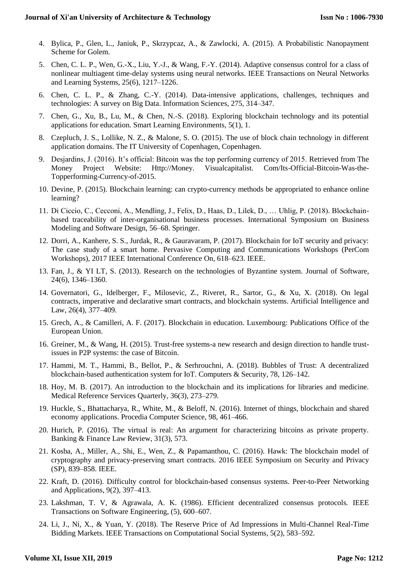- 4. Bylica, P., Glen, L., Janiuk, P., Skrzypcaz, A., & Zawlocki, A. (2015). A Probabilistic Nanopayment Scheme for Golem.
- 5. Chen, C. L. P., Wen, G.-X., Liu, Y.-J., & Wang, F.-Y. (2014). Adaptive consensus control for a class of nonlinear multiagent time-delay systems using neural networks. IEEE Transactions on Neural Networks and Learning Systems, 25(6), 1217–1226.
- 6. Chen, C. L. P., & Zhang, C.-Y. (2014). Data-intensive applications, challenges, techniques and technologies: A survey on Big Data. Information Sciences, 275, 314–347.
- 7. Chen, G., Xu, B., Lu, M., & Chen, N.-S. (2018). Exploring blockchain technology and its potential applications for education. Smart Learning Environments, 5(1), 1.
- 8. Czepluch, J. S., Lollike, N. Z., & Malone, S. O. (2015). The use of block chain technology in different application domains. The IT University of Copenhagen, Copenhagen.
- 9. Desjardins, J. (2016). It's official: Bitcoin was the top performing currency of 2015. Retrieved from The Money Project Website: Http://Money. Visualcapitalist. Com/Its-Official-Bitcoin-Was-the-Topperforming-Currency-of-2015.
- 10. Devine, P. (2015). Blockchain learning: can crypto-currency methods be appropriated to enhance online learning?
- 11. Di Ciccio, C., Cecconi, A., Mendling, J., Felix, D., Haas, D., Lilek, D., … Uhlig, P. (2018). Blockchainbased traceability of inter-organisational business processes. International Symposium on Business Modeling and Software Design, 56–68. Springer.
- 12. Dorri, A., Kanhere, S. S., Jurdak, R., & Gauravaram, P. (2017). Blockchain for IoT security and privacy: The case study of a smart home. Pervasive Computing and Communications Workshops (PerCom Workshops), 2017 IEEE International Conference On, 618–623. IEEE.
- 13. Fan, J., & YI LT, S. (2013). Research on the technologies of Byzantine system. Journal of Software, 24(6), 1346–1360.
- 14. Governatori, G., Idelberger, F., Milosevic, Z., Riveret, R., Sartor, G., & Xu, X. (2018). On legal contracts, imperative and declarative smart contracts, and blockchain systems. Artificial Intelligence and Law, 26(4), 377–409.
- 15. Grech, A., & Camilleri, A. F. (2017). Blockchain in education. Luxembourg: Publications Office of the European Union.
- 16. Greiner, M., & Wang, H. (2015). Trust-free systems-a new research and design direction to handle trustissues in P2P systems: the case of Bitcoin.
- 17. Hammi, M. T., Hammi, B., Bellot, P., & Serhrouchni, A. (2018). Bubbles of Trust: A decentralized blockchain-based authentication system for IoT. Computers & Security, 78, 126–142.
- 18. Hoy, M. B. (2017). An introduction to the blockchain and its implications for libraries and medicine. Medical Reference Services Quarterly, 36(3), 273–279.
- 19. Huckle, S., Bhattacharya, R., White, M., & Beloff, N. (2016). Internet of things, blockchain and shared economy applications. Procedia Computer Science, 98, 461–466.
- 20. Hurich, P. (2016). The virtual is real: An argument for characterizing bitcoins as private property. Banking & Finance Law Review, 31(3), 573.
- 21. Kosba, A., Miller, A., Shi, E., Wen, Z., & Papamanthou, C. (2016). Hawk: The blockchain model of cryptography and privacy-preserving smart contracts. 2016 IEEE Symposium on Security and Privacy (SP), 839–858. IEEE.
- 22. Kraft, D. (2016). Difficulty control for blockchain-based consensus systems. Peer-to-Peer Networking and Applications, 9(2), 397–413.
- 23. Lakshman, T. V, & Agrawala, A. K. (1986). Efficient decentralized consensus protocols. IEEE Transactions on Software Engineering, (5), 600–607.
- 24. Li, J., Ni, X., & Yuan, Y. (2018). The Reserve Price of Ad Impressions in Multi-Channel Real-Time Bidding Markets. IEEE Transactions on Computational Social Systems, 5(2), 583–592.